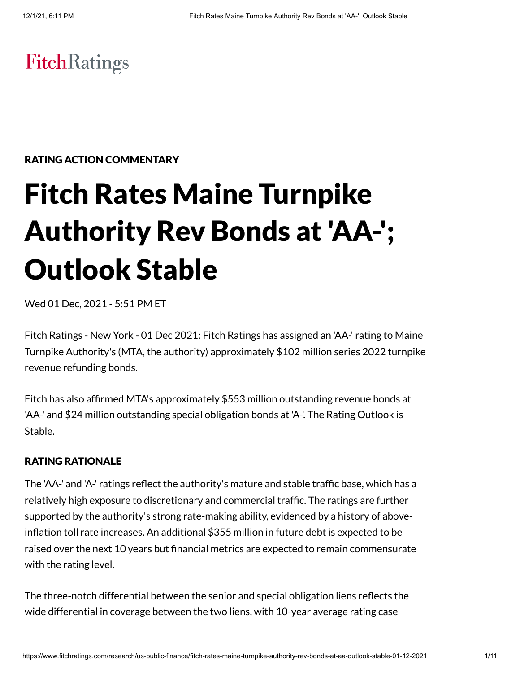# **FitchRatings**

## RATING ACTION COMMENTARY

# Fitch Rates Maine Turnpike Authority Rev Bonds at 'AA-'; Outlook Stable

Wed 01 Dec, 2021 - 5:51 PM ET

Fitch Ratings - New York - 01 Dec 2021: Fitch Ratings has assigned an 'AA-' rating to Maine Turnpike Authority's (MTA, the authority) approximately \$102 million series 2022 turnpike revenue refunding bonds.

Fitch has also affirmed MTA's approximately \$553 million outstanding revenue bonds at 'AA-' and \$24 million outstanding special obligation bonds at 'A-'. The Rating Outlook is Stable.

#### RATING RATIONALE

The 'AA-' and 'A-' ratings reflect the authority's mature and stable traffic base, which has a relatively high exposure to discretionary and commercial traffic. The ratings are further supported by the authority's strong rate-making ability, evidenced by a history of aboveinflation toll rate increases. An additional \$355 million in future debt is expected to be raised over the next 10 years but financial metrics are expected to remain commensurate with the rating level.

The three-notch differential between the senior and special obligation liens reflects the wide differential in coverage between the two liens, with 10-year average rating case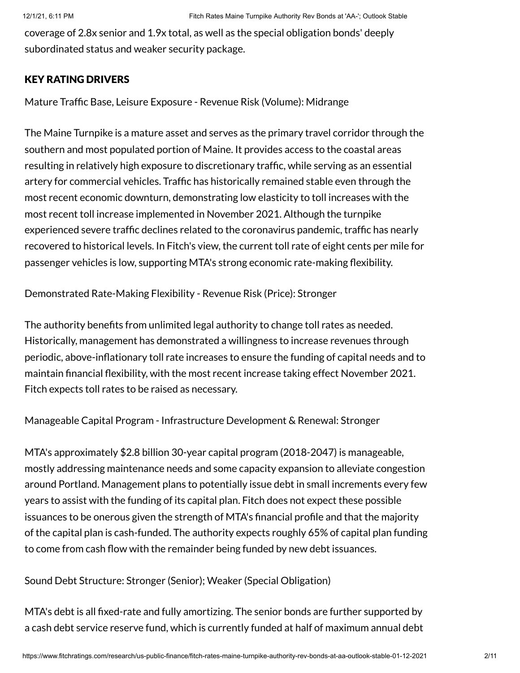coverage of 2.8x senior and 1.9x total, as well as the special obligation bonds' deeply subordinated status and weaker security package.

#### KEY RATING DRIVERS

Mature Traffic Base, Leisure Exposure - Revenue Risk (Volume): Midrange

The Maine Turnpike is a mature asset and serves as the primary travel corridor through the southern and most populated portion of Maine. It provides access to the coastal areas resulting in relatively high exposure to discretionary traffic, while serving as an essential artery for commercial vehicles. Traffic has historically remained stable even through the most recent economic downturn, demonstrating low elasticity to toll increases with the most recent toll increase implemented in November 2021. Although the turnpike experienced severe traffic declines related to the coronavirus pandemic, traffic has nearly recovered to historical levels. In Fitch's view, the current toll rate of eight cents per mile for passenger vehicles is low, supporting MTA's strong economic rate-making flexibility.

Demonstrated Rate-Making Flexibility - Revenue Risk (Price): Stronger

The authority benefits from unlimited legal authority to change toll rates as needed. Historically, management has demonstrated a willingness to increase revenues through periodic, above-inflationary toll rate increases to ensure the funding of capital needs and to maintain financial flexibility, with the most recent increase taking effect November 2021. Fitch expects toll rates to be raised as necessary.

Manageable Capital Program - Infrastructure Development & Renewal: Stronger

MTA's approximately \$2.8 billion 30-year capital program (2018-2047) is manageable, mostly addressing maintenance needs and some capacity expansion to alleviate congestion around Portland. Management plans to potentially issue debt in small increments every few years to assist with the funding of its capital plan. Fitch does not expect these possible issuances to be onerous given the strength of MTA's financial profile and that the majority of the capital plan is cash-funded. The authority expects roughly 65% of capital plan funding to come from cash flow with the remainder being funded by new debt issuances.

#### Sound Debt Structure: Stronger (Senior); Weaker (Special Obligation)

MTA's debt is all fixed-rate and fully amortizing. The senior bonds are further supported by a cash debt service reserve fund, which is currently funded at half of maximum annual debt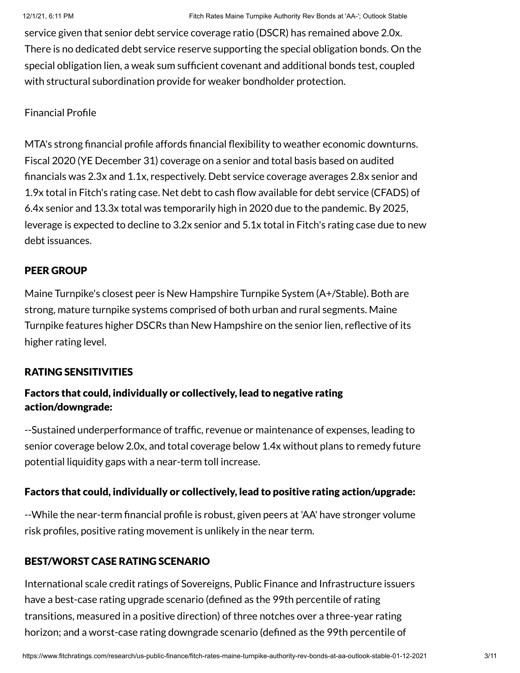service given that senior debt service coverage ratio (DSCR) has remained above 2.0x. There is no dedicated debt service reserve supporting the special obligation bonds. On the special obligation lien, a weak sum sufficient covenant and additional bonds test, coupled with structural subordination provide for weaker bondholder protection.

#### Financial Profile

MTA's strong financial profile affords financial flexibility to weather economic downturns. Fiscal 2020 (YE December 31) coverage on a senior and total basis based on audited financials was 2.3x and 1.1x, respectively. Debt service coverage averages 2.8x senior and 1.9x total in Fitch's rating case. Net debt to cash flow available for debt service (CFADS) of 6.4x senior and 13.3x total was temporarily high in 2020 due to the pandemic. By 2025, leverage is expected to decline to 3.2x senior and 5.1x total in Fitch's rating case due to new debt issuances.

#### PEER GROUP

Maine Turnpike's closest peer is New Hampshire Turnpike System (A+/Stable). Both are strong, mature turnpike systems comprised of both urban and rural segments. Maine Turnpike features higher DSCRs than New Hampshire on the senior lien, reflective of its higher rating level.

#### RATING SENSITIVITIES

# Factors that could, individually or collectively, lead to negative rating action/downgrade:

--Sustained underperformance of traffic, revenue or maintenance of expenses, leading to senior coverage below 2.0x, and total coverage below 1.4x without plans to remedy future potential liquidity gaps with a near-term toll increase.

#### Factors that could, individually or collectively, lead to positive rating action/upgrade:

--While the near-term financial profile is robust, given peers at 'AA' have stronger volume risk profiles, positive rating movement is unlikely in the near term.

# BEST/WORST CASE RATING SCENARIO

International scale credit ratings of Sovereigns, Public Finance and Infrastructure issuers have a best-case rating upgrade scenario (defined as the 99th percentile of rating transitions, measured in a positive direction) of three notches over a three-year rating horizon; and a worst-case rating downgrade scenario (defined as the 99th percentile of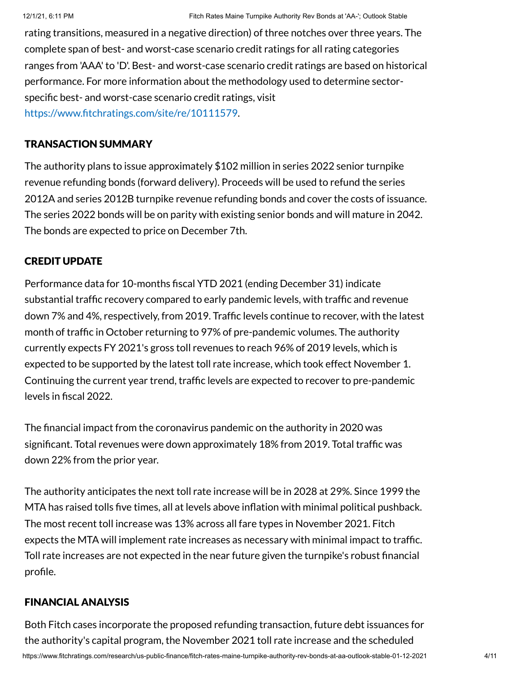rating transitions, measured in a negative direction) of three notches over three years. The complete span of best- and worst-case scenario credit ratings for all rating categories ranges from 'AAA' to 'D'. Best- and worst-case scenario credit ratings are based on historical performance. For more information about the methodology used to determine sectorspecific best- and worst-case scenario credit ratings, visit [https://www.fitchratings.com/site/re/10111579.](https://www.fitchratings.com/site/re/10111579)

#### TRANSACTION SUMMARY

The authority plans to issue approximately \$102 million in series 2022 senior turnpike revenue refunding bonds (forward delivery). Proceeds will be used to refund the series 2012A and series 2012B turnpike revenue refunding bonds and cover the costs of issuance. The series 2022 bonds will be on parity with existing senior bonds and will mature in 2042. The bonds are expected to price on December 7th.

#### CREDIT UPDATE

Performance data for 10-months fiscal YTD 2021 (ending December 31) indicate substantial traffic recovery compared to early pandemic levels, with traffic and revenue down 7% and 4%, respectively, from 2019. Traffic levels continue to recover, with the latest month of traffic in October returning to 97% of pre-pandemic volumes. The authority currently expects FY 2021's gross toll revenues to reach 96% of 2019 levels, which is expected to be supported by the latest toll rate increase, which took effect November 1. Continuing the current year trend, traffic levels are expected to recover to pre-pandemic levels in fiscal 2022.

The financial impact from the coronavirus pandemic on the authority in 2020 was significant. Total revenues were down approximately 18% from 2019. Total traffic was down 22% from the prior year.

The authority anticipates the next toll rate increase will be in 2028 at 29%. Since 1999 the MTA has raised tolls five times, all at levels above inflation with minimal political pushback. The most recent toll increase was 13% across all fare types in November 2021. Fitch expects the MTA will implement rate increases as necessary with minimal impact to traffic. Toll rate increases are not expected in the near future given the turnpike's robust financial profile.

#### FINANCIAL ANALYSIS

https://www.fitchratings.com/research/us-public-finance/fitch-rates-maine-turnpike-authority-rev-bonds-at-aa-outlook-stable-01-12-2021 4/11 Both Fitch cases incorporate the proposed refunding transaction, future debt issuances for the authority's capital program, the November 2021 toll rate increase and the scheduled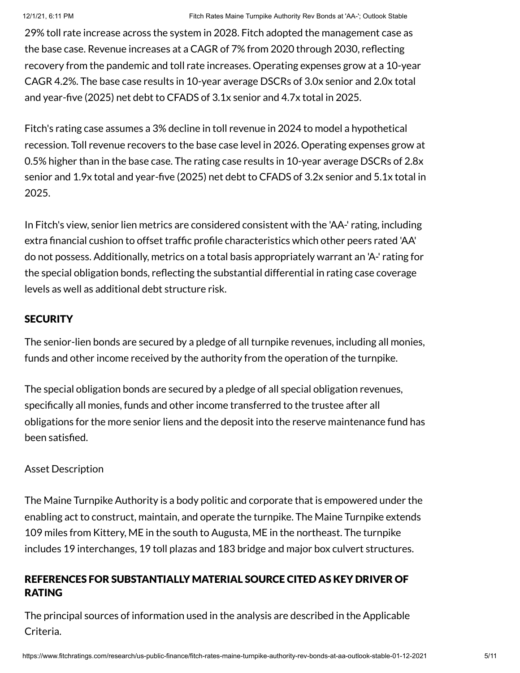29% toll rate increase across the system in 2028. Fitch adopted the management case as the base case. Revenue increases at a CAGR of 7% from 2020 through 2030, reflecting recovery from the pandemic and toll rate increases. Operating expenses grow at a 10-year CAGR 4.2%. The base case results in 10-year average DSCRs of 3.0x senior and 2.0x total and year-five (2025) net debt to CFADS of 3.1x senior and 4.7x total in 2025.

Fitch's rating case assumes a 3% decline in toll revenue in 2024 to model a hypothetical recession. Toll revenue recovers to the base case level in 2026. Operating expenses grow at 0.5% higher than in the base case. The rating case results in 10-year average DSCRs of 2.8x senior and 1.9x total and year-five (2025) net debt to CFADS of 3.2x senior and 5.1x total in 2025.

In Fitch's view, senior lien metrics are considered consistent with the 'AA-' rating, including extra financial cushion to offset traffic profile characteristics which other peers rated 'AA' do not possess. Additionally, metrics on a total basis appropriately warrant an 'A-' rating for the special obligation bonds, reflecting the substantial differential in rating case coverage levels as well as additional debt structure risk.

# **SECURITY**

The senior-lien bonds are secured by a pledge of all turnpike revenues, including all monies, funds and other income received by the authority from the operation of the turnpike.

The special obligation bonds are secured by a pledge of all special obligation revenues, specifically all monies, funds and other income transferred to the trustee after all obligations for the more senior liens and the deposit into the reserve maintenance fund has been satisfied.

# Asset Description

The Maine Turnpike Authority is a body politic and corporate that is empowered under the enabling act to construct, maintain, and operate the turnpike. The Maine Turnpike extends 109 miles from Kittery, ME in the south to Augusta, ME in the northeast. The turnpike includes 19 interchanges, 19 toll plazas and 183 bridge and major box culvert structures.

# REFERENCES FOR SUBSTANTIALLY MATERIAL SOURCE CITED AS KEY DRIVER OF RATING

The principal sources of information used in the analysis are described in the Applicable Criteria.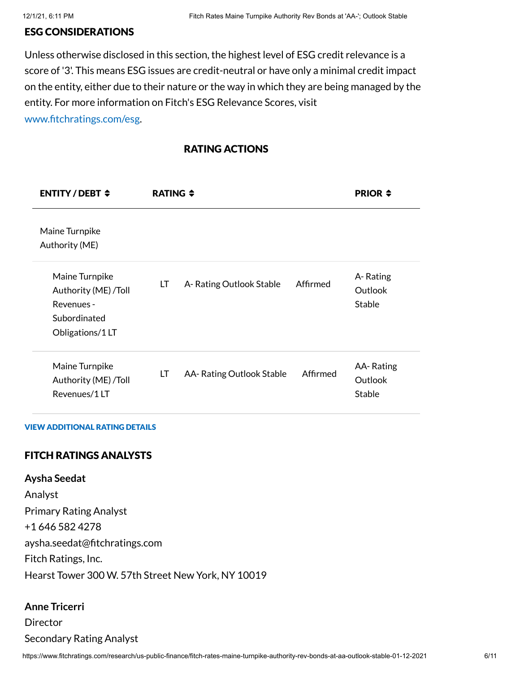#### ESG CONSIDERATIONS

Unless otherwise disclosed in this section, the highest level of ESG credit relevance is a score of '3'. This means ESG issues are credit-neutral or have only a minimal credit impact on the entity, either due to their nature or the way in which they are being managed by the entity. For more information on Fitch's ESG Relevance Scores, visit [www.fitchratings.com/esg.](http://www.fitchratings.com/esg)

#### RATING ACTIONS

| ENTITY/DEBT $\div$                                                                      | RATING $\div$ |                          |          | <b>PRIOR <math>\div</math></b>               |
|-----------------------------------------------------------------------------------------|---------------|--------------------------|----------|----------------------------------------------|
| Maine Turnpike<br>Authority (ME)                                                        |               |                          |          |                                              |
| Maine Turnpike<br>Authority (ME) /Toll<br>Revenues -<br>Subordinated<br>Obligations/1LT | LT            | A-Rating Outlook Stable  | Affirmed | A-Rating<br><b>Outlook</b><br><b>Stable</b>  |
| Maine Turnpike<br>Authority (ME) /Toll<br>Revenues/1LT                                  | LT            | AA-Rating Outlook Stable | Affirmed | AA-Rating<br><b>Outlook</b><br><b>Stable</b> |

#### VIEW ADDITIONAL RATING DETAILS

#### FITCH RATINGS ANALYSTS

**Aysha Seedat** Analyst Primary Rating Analyst +1 646 582 4278 aysha.seedat@fitchratings.com Fitch Ratings, Inc. Hearst Tower 300 W. 57th Street New York, NY 10019

#### **Anne Tricerri**

Director Secondary Rating Analyst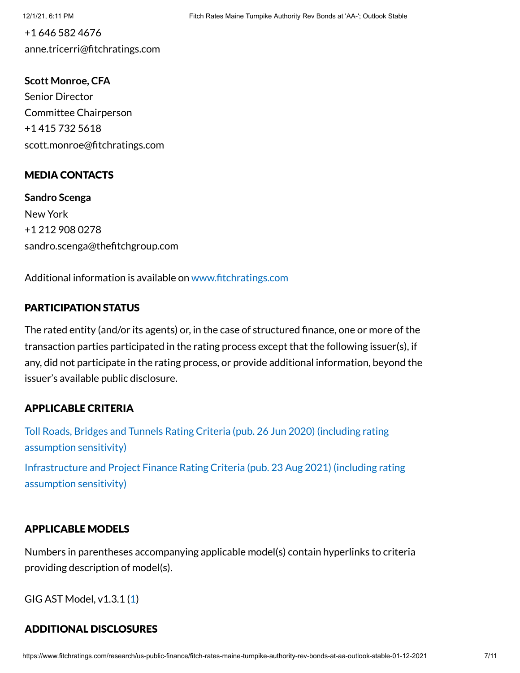+1 646 582 4676 anne.tricerri@fitchratings.com

#### **Scott Monroe, CFA**

Senior Director Committee Chairperson +1 415 732 5618 scott.monroe@fitchratings.com

#### MEDIA CONTACTS

**Sandro Scenga** New York +1 212 908 0278 sandro.scenga@thefitchgroup.com

Additional information is available on [www.fitchratings.com](http://www.fitchratings.com/)

#### PARTICIPATION STATUS

The rated entity (and/or its agents) or, in the case of structured finance, one or more of the transaction parties participated in the rating process except that the following issuer(s), if any, did not participate in the rating process, or provide additional information, beyond the issuer's available public disclosure.

#### APPLICABLE CRITERIA

Toll Roads, Bridges [and Tunnels](https://www.fitchratings.com/research/us-public-finance/toll-roads-bridges-tunnels-rating-criteria-26-06-2020) Rating Criteria (pub. 26 Jun 2020) (including rating assumption sensitivity)

[Infrastructure](https://www.fitchratings.com/research/infrastructure-project-finance/infrastructure-project-finance-rating-criteria-23-08-2021) and Project Finance Rating Criteria (pub. 23 Aug 2021) (including rating assumption sensitivity)

#### APPLICABLE MODELS

Numbers in parentheses accompanying applicable model(s) contain hyperlinks to criteria providing description of model(s).

GIG AST Model, v1.3.1 [\(1](https://www.fitchratings.com/research/infrastructure-project-finance/infrastructure-project-finance-rating-criteria-23-08-2021))

#### ADDITIONAL DISCLOSURES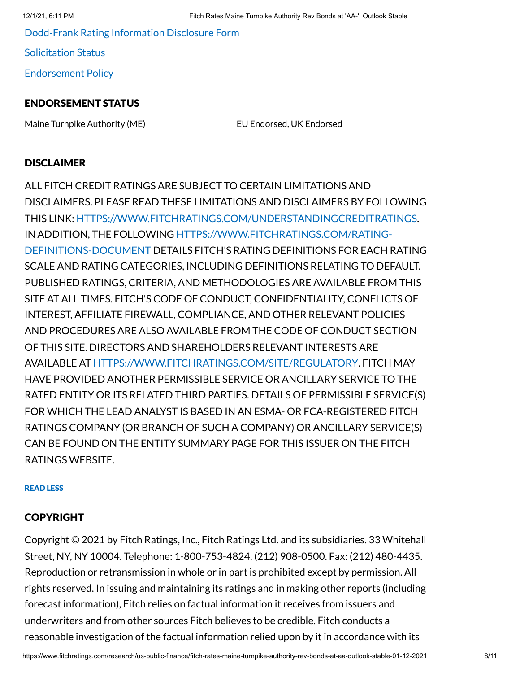[Dodd-Frank](https://www.fitchratings.com/research/us-public-finance/fitch-rates-maine-turnpike-authority-rev-bonds-at-aa-outlook-stable-01-12-2021/dodd-frank-disclosure) Rating Information Disclosure Form

Solicitation Status

[Endorsement](#page-9-0) Policy

#### ENDORSEMENT STATUS

Maine Turnpike Authority (ME) EU Endorsed, UK Endorsed

### DISCLAIMER

ALL FITCH CREDIT RATINGS ARE SUBJECT TO CERTAIN LIMITATIONS AND DISCLAIMERS. PLEASE READ THESE LIMITATIONS AND DISCLAIMERS BY FOLLOWING THIS LINK: [HTTPS://WWW.FITCHRATINGS.COM/UNDERSTANDINGCREDITRATINGS](https://www.fitchratings.com/UNDERSTANDINGCREDITRATINGS). IN ADDITION, THE FOLLOWING [HTTPS://WWW.FITCHRATINGS.COM/RATING-](https://www.fitchratings.com/rating-definitions-document)DEFINITIONS-DOCUMENT DETAILS FITCH'S RATING DEFINITIONS FOR EACH RATING SCALE AND RATING CATEGORIES, INCLUDING DEFINITIONS RELATING TO DEFAULT. PUBLISHED RATINGS, CRITERIA, AND METHODOLOGIES ARE AVAILABLE FROM THIS SITE AT ALL TIMES. FITCH'S CODE OF CONDUCT, CONFIDENTIALITY, CONFLICTS OF INTEREST, AFFILIATE FIREWALL, COMPLIANCE, AND OTHER RELEVANT POLICIES AND PROCEDURES ARE ALSO AVAILABLE FROM THE CODE OF CONDUCT SECTION OF THIS SITE. DIRECTORS AND SHAREHOLDERS RELEVANT INTERESTS ARE AVAILABLE AT [HTTPS://WWW.FITCHRATINGS.COM/SITE/REGULATORY](https://www.fitchratings.com/site/regulatory). FITCH MAY HAVE PROVIDED ANOTHER PERMISSIBLE SERVICE OR ANCILLARY SERVICE TO THE RATED ENTITY OR ITS RELATED THIRD PARTIES. DETAILS OF PERMISSIBLE SERVICE(S) FOR WHICH THE LEAD ANALYST IS BASED IN AN ESMA- OR FCA-REGISTERED FITCH RATINGS COMPANY (OR BRANCH OF SUCH A COMPANY) OR ANCILLARY SERVICE(S) CAN BE FOUND ON THE ENTITY SUMMARY PAGE FOR THIS ISSUER ON THE FITCH RATINGS WEBSITE.

#### READ LESS

# COPYRIGHT

Copyright © 2021 by Fitch Ratings, Inc., Fitch Ratings Ltd. and its subsidiaries. 33 Whitehall Street, NY, NY 10004. Telephone: 1-800-753-4824, (212) 908-0500. Fax: (212) 480-4435. Reproduction or retransmission in whole or in part is prohibited except by permission. All rights reserved. In issuing and maintaining its ratings and in making other reports (including forecast information), Fitch relies on factual information it receives from issuers and underwriters and from other sources Fitch believes to be credible. Fitch conducts a reasonable investigation of the factual information relied upon by it in accordance with its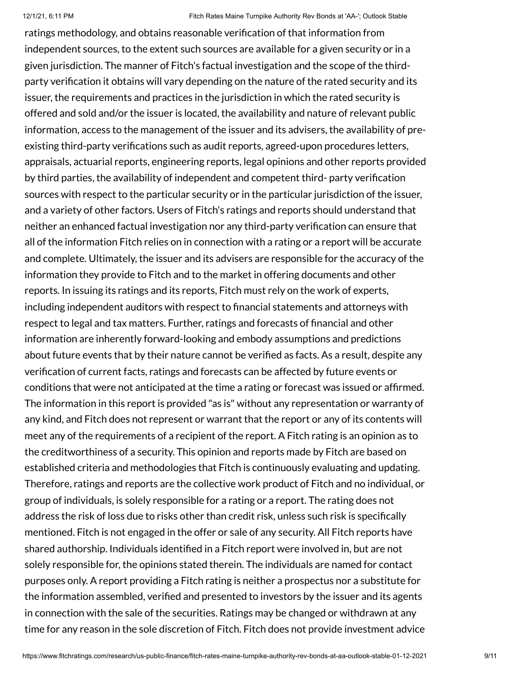ratings methodology, and obtains reasonable verification of that information from independent sources, to the extent such sources are available for a given security or in a given jurisdiction. The manner of Fitch's factual investigation and the scope of the thirdparty verification it obtains will vary depending on the nature of the rated security and its issuer, the requirements and practices in the jurisdiction in which the rated security is offered and sold and/or the issuer is located, the availability and nature of relevant public information, access to the management of the issuer and its advisers, the availability of preexisting third-party verifications such as audit reports, agreed-upon procedures letters, appraisals, actuarial reports, engineering reports, legal opinions and other reports provided by third parties, the availability of independent and competent third- party verification sources with respect to the particular security or in the particular jurisdiction of the issuer, and a variety of other factors. Users of Fitch's ratings and reports should understand that neither an enhanced factual investigation nor any third-party verification can ensure that all of the information Fitch relies on in connection with a rating or a report will be accurate and complete. Ultimately, the issuer and its advisers are responsible for the accuracy of the information they provide to Fitch and to the market in offering documents and other reports. In issuing its ratings and its reports, Fitch must rely on the work of experts, including independent auditors with respect to financial statements and attorneys with respect to legal and tax matters. Further, ratings and forecasts of financial and other information are inherently forward-looking and embody assumptions and predictions about future events that by their nature cannot be verified as facts. As a result, despite any verification of current facts, ratings and forecasts can be affected by future events or conditions that were not anticipated at the time a rating or forecast was issued or affirmed. The information in this report is provided "as is" without any representation or warranty of any kind, and Fitch does not represent or warrant that the report or any of its contents will meet any of the requirements of a recipient of the report. A Fitch rating is an opinion as to the creditworthiness of a security. This opinion and reports made by Fitch are based on established criteria and methodologies that Fitch is continuously evaluating and updating. Therefore, ratings and reports are the collective work product of Fitch and no individual, or group of individuals, is solely responsible for a rating or a report. The rating does not address the risk of loss due to risks other than credit risk, unless such risk is specifically mentioned. Fitch is not engaged in the offer or sale of any security. All Fitch reports have shared authorship. Individuals identified in a Fitch report were involved in, but are not solely responsible for, the opinions stated therein. The individuals are named for contact purposes only. A report providing a Fitch rating is neither a prospectus nor a substitute for the information assembled, verified and presented to investors by the issuer and its agents in connection with the sale of the securities. Ratings may be changed or withdrawn at any time for any reason in the sole discretion of Fitch. Fitch does not provide investment advice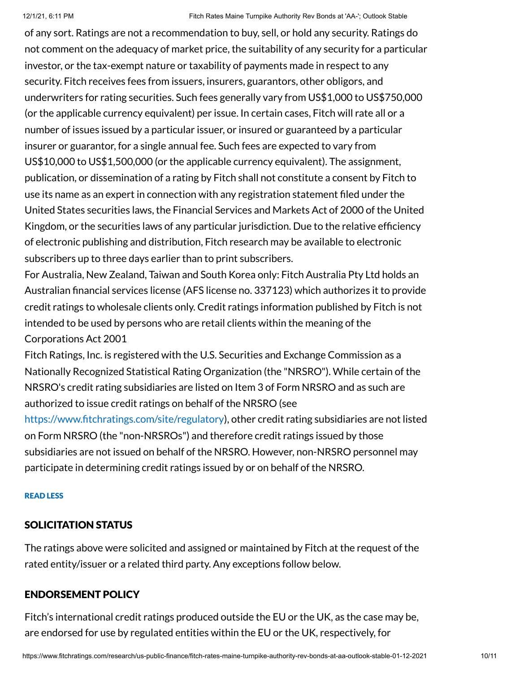of any sort. Ratings are not a recommendation to buy, sell, or hold any security. Ratings do not comment on the adequacy of market price, the suitability of any security for a particular investor, or the tax-exempt nature or taxability of payments made in respect to any security. Fitch receives fees from issuers, insurers, guarantors, other obligors, and underwriters for rating securities. Such fees generally vary from US\$1,000 to US\$750,000 (or the applicable currency equivalent) per issue. In certain cases, Fitch will rate all or a number of issues issued by a particular issuer, or insured or guaranteed by a particular insurer or guarantor, for a single annual fee. Such fees are expected to vary from US\$10,000 to US\$1,500,000 (or the applicable currency equivalent). The assignment, publication, or dissemination of a rating by Fitch shall not constitute a consent by Fitch to use its name as an expert in connection with any registration statement filed under the United States securities laws, the Financial Services and Markets Act of 2000 of the United Kingdom, or the securities laws of any particular jurisdiction. Due to the relative efficiency of electronic publishing and distribution, Fitch research may be available to electronic subscribers up to three days earlier than to print subscribers.

For Australia, New Zealand, Taiwan and South Korea only: Fitch Australia Pty Ltd holds an Australian financial services license (AFS license no. 337123) which authorizes it to provide credit ratings to wholesale clients only. Credit ratings information published by Fitch is not intended to be used by persons who are retail clients within the meaning of the Corporations Act 2001

Fitch Ratings, Inc. is registered with the U.S. Securities and Exchange Commission as a Nationally Recognized Statistical Rating Organization (the "NRSRO"). While certain of the NRSRO's credit rating subsidiaries are listed on Item 3 of Form NRSRO and as such are authorized to issue credit ratings on behalf of the NRSRO (see

[https://www.fitchratings.com/site/regulatory\)](https://www.fitchratings.com/site/regulatory), other credit rating subsidiaries are not listed on Form NRSRO (the "non-NRSROs") and therefore credit ratings issued by those subsidiaries are not issued on behalf of the NRSRO. However, non-NRSRO personnel may participate in determining credit ratings issued by or on behalf of the NRSRO.

#### READ LESS

# SOLICITATION STATUS

The ratings above were solicited and assigned or maintained by Fitch at the request of the rated entity/issuer or a related third party. Any exceptions follow below.

# <span id="page-9-0"></span>ENDORSEMENT POLICY

Fitch's international credit ratings produced outside the EU or the UK, as the case may be, are endorsed for use by regulated entities within the EU or the UK, respectively, for